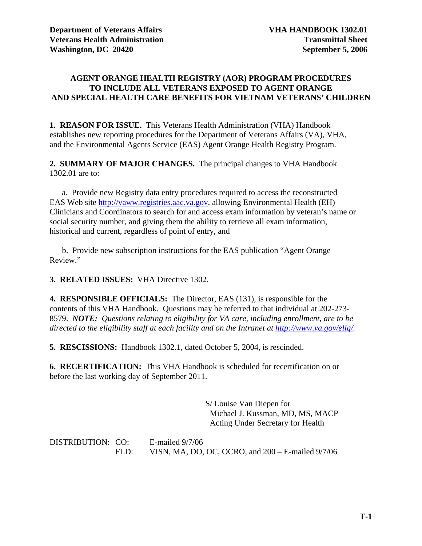#### **AGENT ORANGE HEALTH REGISTRY (AOR) PROGRAM PROCEDURES TO INCLUDE ALL VETERANS EXPOSED TO AGENT ORANGE AND SPECIAL HEALTH CARE BENEFITS FOR VIETNAM VETERANS' CHILDREN**

**1. REASON FOR ISSUE.** This Veterans Health Administration (VHA) Handbook establishes new reporting procedures for the Department of Veterans Affairs (VA), VHA, and the Environmental Agents Service (EAS) Agent Orange Health Registry Program.

**2. SUMMARY OF MAJOR CHANGES.** The principal changes to VHA Handbook 1302.01 are to:

 a. Provide new Registry data entry procedures required to access the reconstructed EAS Web site [http://vaww.registries.aac.va.gov,](http://vaww.registries.aac.va.gov/) allowing Environmental Health (EH) Clinicians and Coordinators to search for and access exam information by veteran's name or social security number, and giving them the ability to retrieve all exam information, historical and current, regardless of point of entry, and

 b. Provide new subscription instructions for the EAS publication "Agent Orange Review."

**3. RELATED ISSUES:** VHA Directive 1302.

**4. RESPONSIBLE OFFICIALS:** The Director, EAS (131), is responsible for the contents of this VHA Handbook. Questions may be referred to that individual at 202-273- 8579. *NOTE: Questions relating to eligibility for VA care, including enrollment, are to be directed to the eligibility staff at each facility and on the Intranet at [http://www.va.gov/elig/.](http://www.va.gov/elig/)* 

**5. RESCISSIONS:** Handbook 1302.1, dated October 5, 2004, is rescinded.

**6. RECERTIFICATION:** This VHA Handbook is scheduled for recertification on or before the last working day of September 2011.

> S/ Louise Van Diepen for Michael J. Kussman, MD, MS, MACP Acting Under Secretary for Health

DISTRIBUTION: CO: E-mailed 9/7/06 FLD: VISN, MA, DO, OC, OCRO, and 200 – E-mailed 9/7/06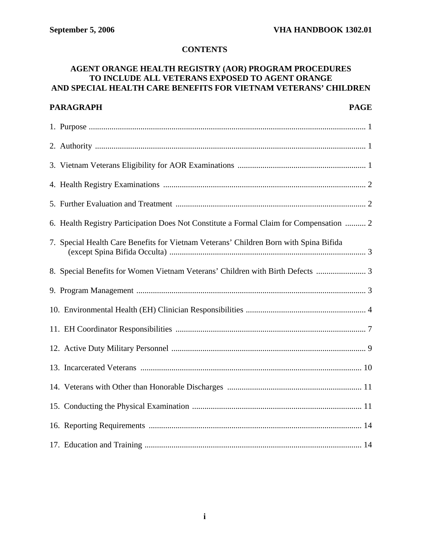# **CONTENTS**

# **AGENT ORANGE HEALTH REGISTRY (AOR) PROGRAM PROCEDURES TO INCLUDE ALL VETERANS EXPOSED TO AGENT ORANGE AND SPECIAL HEALTH CARE BENEFITS FOR VIETNAM VETERANS' CHILDREN**

| <b>PARAGRAPH</b><br><b>PAGE</b>                                                         |
|-----------------------------------------------------------------------------------------|
|                                                                                         |
|                                                                                         |
|                                                                                         |
|                                                                                         |
|                                                                                         |
| 6. Health Registry Participation Does Not Constitute a Formal Claim for Compensation  2 |
| 7. Special Health Care Benefits for Vietnam Veterans' Children Born with Spina Bifida   |
| 8. Special Benefits for Women Vietnam Veterans' Children with Birth Defects             |
|                                                                                         |
|                                                                                         |
|                                                                                         |
|                                                                                         |
|                                                                                         |
|                                                                                         |
|                                                                                         |
|                                                                                         |
|                                                                                         |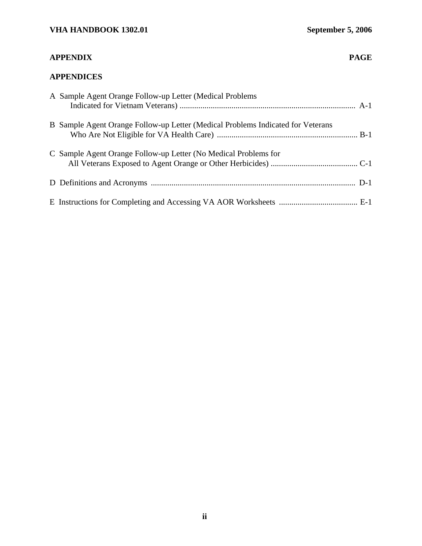# **APPENDIX PAGE**

# **APPENDICES**

| A Sample Agent Orange Follow-up Letter (Medical Problems                        |  |
|---------------------------------------------------------------------------------|--|
| B Sample Agent Orange Follow-up Letter (Medical Problems Indicated for Veterans |  |
| C Sample Agent Orange Follow-up Letter (No Medical Problems for                 |  |
|                                                                                 |  |
|                                                                                 |  |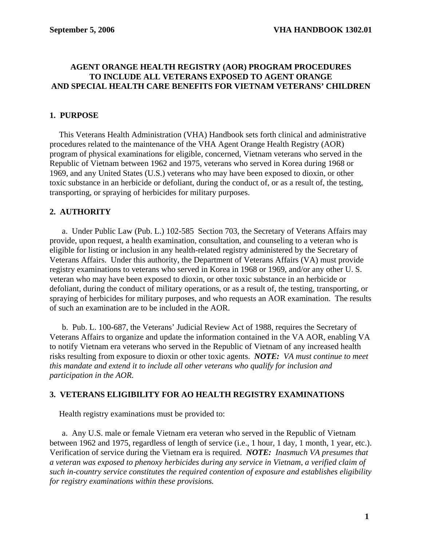#### **AGENT ORANGE HEALTH REGISTRY (AOR) PROGRAM PROCEDURES TO INCLUDE ALL VETERANS EXPOSED TO AGENT ORANGE AND SPECIAL HEALTH CARE BENEFITS FOR VIETNAM VETERANS' CHILDREN**

# **1. PURPOSE**

 This Veterans Health Administration (VHA) Handbook sets forth clinical and administrative procedures related to the maintenance of the VHA Agent Orange Health Registry (AOR) program of physical examinations for eligible, concerned, Vietnam veterans who served in the Republic of Vietnam between 1962 and 1975, veterans who served in Korea during 1968 or 1969, and any United States (U.S.) veterans who may have been exposed to dioxin, or other toxic substance in an herbicide or defoliant, during the conduct of, or as a result of, the testing, transporting, or spraying of herbicides for military purposes.

# **2. AUTHORITY**

 a. Under Public Law (Pub. L.) 102-585 Section 703, the Secretary of Veterans Affairs may provide, upon request, a health examination, consultation, and counseling to a veteran who is eligible for listing or inclusion in any health-related registry administered by the Secretary of Veterans Affairs. Under this authority, the Department of Veterans Affairs (VA) must provide registry examinations to veterans who served in Korea in 1968 or 1969, and/or any other U. S. veteran who may have been exposed to dioxin, or other toxic substance in an herbicide or defoliant, during the conduct of military operations, or as a result of, the testing, transporting, or spraying of herbicides for military purposes, and who requests an AOR examination. The results of such an examination are to be included in the AOR.

 b. Pub. L. 100-687, the Veterans' Judicial Review Act of 1988, requires the Secretary of Veterans Affairs to organize and update the information contained in the VA AOR, enabling VA to notify Vietnam era veterans who served in the Republic of Vietnam of any increased health risks resulting from exposure to dioxin or other toxic agents. *NOTE: VA must continue to meet this mandate and extend it to include all other veterans who qualify for inclusion and participation in the AOR.* 

#### **3. VETERANS ELIGIBILITY FOR AO HEALTH REGISTRY EXAMINATIONS**

Health registry examinations must be provided to:

 a. Any U.S. male or female Vietnam era veteran who served in the Republic of Vietnam between 1962 and 1975, regardless of length of service (i.e., 1 hour, 1 day, 1 month, 1 year, etc.). Verification of service during the Vietnam era is required. *NOTE: Inasmuch VA presumes that a veteran was exposed to phenoxy herbicides during any service in Vietnam, a verified claim of such in-country service constitutes the required contention of exposure and establishes eligibility for registry examinations within these provisions.*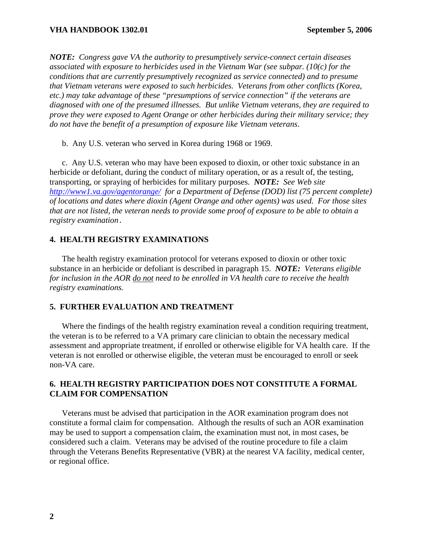*NOTE: Congress gave VA the authority to presumptively service-connect certain diseases associated with exposure to herbicides used in the Vietnam War (see subpar. (10(c) for the conditions that are currently presumptively recognized as service connected) and to presume that Vietnam veterans were exposed to such herbicides. Veterans from other conflicts (Korea, etc.) may take advantage of these "presumptions of service connection" if the veterans are diagnosed with one of the presumed illnesses. But unlike Vietnam veterans, they are required to prove they were exposed to Agent Orange or other herbicides during their military service; they do not have the benefit of a presumption of exposure like Vietnam veterans*.

b. Any U.S. veteran who served in Korea during 1968 or 1969.

 c. Any U.S. veteran who may have been exposed to dioxin, or other toxic substance in an herbicide or defoliant, during the conduct of military operation, or as a result of, the testing, transporting, or spraying of herbicides for military purposes. *NOTE: See Web site <http://www1.va.gov/agentorange/>for a Department of Defense (DOD) list (75 percent complete) of locations and dates where dioxin (Agent Orange and other agents) was used. For those sites that are not listed, the veteran needs to provide some proof of exposure to be able to obtain a registry examination*.

# **4. HEALTH REGISTRY EXAMINATIONS**

 The health registry examination protocol for veterans exposed to dioxin or other toxic substance in an herbicide or defoliant is described in paragraph 15. *NOTE: Veterans eligible for inclusion in the AOR do not need to be enrolled in VA health care to receive the health registry examinations.* 

# **5. FURTHER EVALUATION AND TREATMENT**

 Where the findings of the health registry examination reveal a condition requiring treatment, the veteran is to be referred to a VA primary care clinician to obtain the necessary medical assessment and appropriate treatment, if enrolled or otherwise eligible for VA health care. If the veteran is not enrolled or otherwise eligible, the veteran must be encouraged to enroll or seek non-VA care.

# **6. HEALTH REGISTRY PARTICIPATION DOES NOT CONSTITUTE A FORMAL CLAIM FOR COMPENSATION**

 Veterans must be advised that participation in the AOR examination program does not constitute a formal claim for compensation. Although the results of such an AOR examination may be used to support a compensation claim, the examination must not, in most cases, be considered such a claim. Veterans may be advised of the routine procedure to file a claim through the Veterans Benefits Representative (VBR) at the nearest VA facility, medical center, or regional office.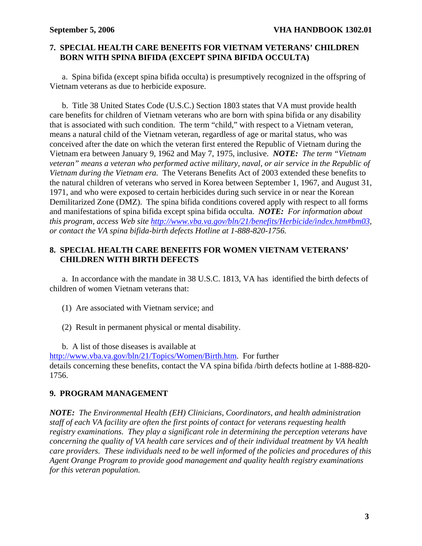#### **7. SPECIAL HEALTH CARE BENEFITS FOR VIETNAM VETERANS' CHILDREN BORN WITH SPINA BIFIDA (EXCEPT SPINA BIFIDA OCCULTA)**

 a. Spina bifida (except spina bifida occulta) is presumptively recognized in the offspring of Vietnam veterans as due to herbicide exposure.

 b. Title 38 United States Code (U.S.C.) Section 1803 states that VA must provide health care benefits for children of Vietnam veterans who are born with spina bifida or any disability that is associated with such condition. The term "child," with respect to a Vietnam veteran, means a natural child of the Vietnam veteran, regardless of age or marital status, who was conceived after the date on which the veteran first entered the Republic of Vietnam during the Vietnam era between January 9, 1962 and May 7, 1975, inclusive. *NOTE: The term "Vietnam veteran" means a veteran who performed active military, naval, or air service in the Republic of Vietnam during the Vietnam era.* The Veterans Benefits Act of 2003 extended these benefits to the natural children of veterans who served in Korea between September 1, 1967, and August 31, 1971, and who were exposed to certain herbicides during such service in or near the Korean Demilitarized Zone (DMZ). The spina bifida conditions covered apply with respect to all forms and manifestations of spina bifida except spina bifida occulta. *NOTE: For information about this program, access Web site http://www.vba.va.gov/bln/21/benefits/Herbicide/index.htm#bm03[,](http://www.vba.va.gov/bln/21/benefits/Herbicide/index.htm#bm03)  or contact the VA spina bifida-birth defects Hotline at 1-888-820-1756.* 

# **8. SPECIAL HEALTH CARE BENEFITS FOR WOMEN VIETNAM VETERANS' CHILDREN WITH BIRTH DEFECTS**

 a. In accordance with the mandate in 38 U.S.C. 1813, VA has identified the birth defects of children of women Vietnam veterans that:

- (1) Are associated with Vietnam service; and
- (2) Result in permanent physical or mental disability.

b. A list of those diseases is available at

[http://www.vba.va.gov/bln/21/Topics/Women/Birth.htm.](http://www.vba.va.gov/bln/21/Topics/Women/Birth.htm) For further details concerning these benefits, contact the VA spina bifida /birth defects hotline at 1-888-820- 1756.

# **9. PROGRAM MANAGEMENT**

*NOTE: The Environmental Health (EH) Clinicians, Coordinators, and health administration staff of each VA facility are often the first points of contact for veterans requesting health registry examinations. They play a significant role in determining the perception veterans have concerning the quality of VA health care services and of their individual treatment by VA health care providers. These individuals need to be well informed of the policies and procedures of this Agent Orange Program to provide good management and quality health registry examinations for this veteran population.*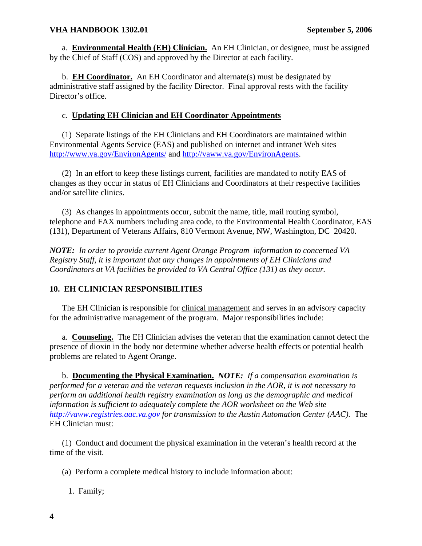a. **Environmental Health (EH) Clinician.** An EH Clinician, or designee, must be assigned by the Chief of Staff (COS) and approved by the Director at each facility.

 b. **EH Coordinator.** An EH Coordinator and alternate(s) must be designated by administrative staff assigned by the facility Director. Final approval rests with the facility Director's office.

# c. **Updating EH Clinician and EH Coordinator Appointments**

(1) Separate listings of the EH Clinicians and EH Coordinators are maintained within Environmental Agents Service (EAS) and published on internet and intranet Web sites <http://www.va.gov/EnvironAgents/> and [http://vaww.va.gov/EnvironAgents.](http://vaww.va.gov/EnvironAgents)

 (2) In an effort to keep these listings current, facilities are mandated to notify EAS of changes as they occur in status of EH Clinicians and Coordinators at their respective facilities and/or satellite clinics.

 (3) As changes in appointments occur, submit the name, title, mail routing symbol, telephone and FAX numbers including area code, to the Environmental Health Coordinator, EAS (131), Department of Veterans Affairs, 810 Vermont Avenue, NW, Washington, DC 20420.

*NOTE: In order to provide current Agent Orange Program information to concerned VA Registry Staff, it is important that any changes in appointments of EH Clinicians and Coordinators at VA facilities be provided to VA Central Office (131) as they occur.* 

# **10. EH CLINICIAN RESPONSIBILITIES**

 The EH Clinician is responsible for clinical management and serves in an advisory capacity for the administrative management of the program. Major responsibilities include:

 a. **Counseling.** The EH Clinician advises the veteran that the examination cannot detect the presence of dioxin in the body nor determine whether adverse health effects or potential health problems are related to Agent Orange.

 b. **Documenting the Physical Examination.** *NOTE: If a compensation examination is performed for a veteran and the veteran requests inclusion in the AOR, it is not necessary to perform an additional health registry examination as long as the demographic and medical information is sufficient to adequately complete the AOR worksheet on the Web site [http://vaww.registries.aac.va.gov](http://vaww.registries.aac.va.gov/) for transmission to the Austin Automation Center (AAC).* The EH Clinician must:

 (1) Conduct and document the physical examination in the veteran's health record at the time of the visit.

- (a) Perform a complete medical history to include information about:
	- 1. Family;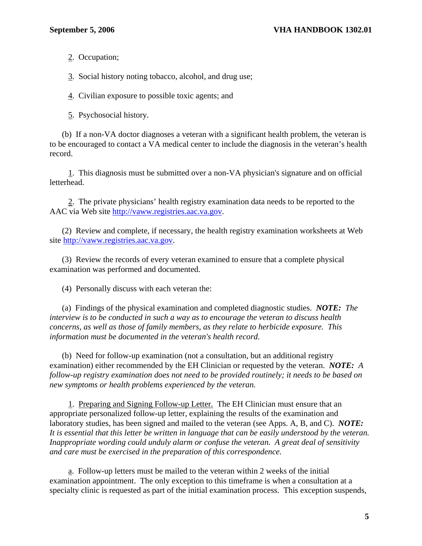2. Occupation;

3. Social history noting tobacco, alcohol, and drug use;

4. Civilian exposure to possible toxic agents; and

5. Psychosocial history.

 (b) If a non-VA doctor diagnoses a veteran with a significant health problem, the veteran is to be encouraged to contact a VA medical center to include the diagnosis in the veteran's health record.

 1. This diagnosis must be submitted over a non-VA physician's signature and on official letterhead.

 2. The private physicians' health registry examination data needs to be reported to the AAC via Web site [http://vaww.registries.aac.va.gov](http://vaww.registries.aac.va.gov/).

 (2) Review and complete, if necessary, the health registry examination worksheets at Web site [http://vaww.registries.aac.va.gov.](http://vaww.registries.aac.va.gov/)

 (3) Review the records of every veteran examined to ensure that a complete physical examination was performed and documented.

(4) Personally discuss with each veteran the:

 (a) Findings of the physical examination and completed diagnostic studies. *NOTE: The interview is to be conducted in such a way as to encourage the veteran to discuss health concerns, as well as those of family members, as they relate to herbicide exposure. This information must be documented in the veteran's health record.* 

 (b) Need for follow-up examination (not a consultation, but an additional registry examination) either recommended by the EH Clinician or requested by the veteran. *NOTE: A follow-up registry examination does not need to be provided routinely; it needs to be based on new symptoms or health problems experienced by the veteran.*

 1. Preparing and Signing Follow-up Letter. The EH Clinician must ensure that an appropriate personalized follow-up letter, explaining the results of the examination and laboratory studies, has been signed and mailed to the veteran (see Apps. A, B, and C). *NOTE: It is essential that this letter be written in language that can be easily understood by the veteran. Inappropriate wording could unduly alarm or confuse the veteran. A great deal of sensitivity and care must be exercised in the preparation of this correspondence.* 

 a. Follow-up letters must be mailed to the veteran within 2 weeks of the initial examination appointment. The only exception to this timeframe is when a consultation at a specialty clinic is requested as part of the initial examination process. This exception suspends,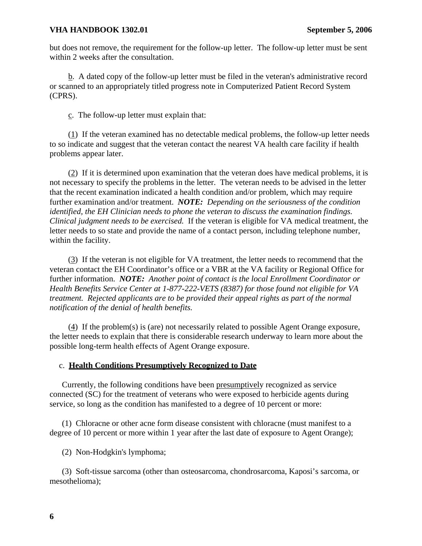but does not remove, the requirement for the follow-up letter. The follow-up letter must be sent within 2 weeks after the consultation.

 b. A dated copy of the follow-up letter must be filed in the veteran's administrative record or scanned to an appropriately titled progress note in Computerized Patient Record System (CPRS).

c. The follow-up letter must explain that:

 (1) If the veteran examined has no detectable medical problems, the follow-up letter needs to so indicate and suggest that the veteran contact the nearest VA health care facility if health problems appear later.

 (2) If it is determined upon examination that the veteran does have medical problems, it is not necessary to specify the problems in the letter. The veteran needs to be advised in the letter that the recent examination indicated a health condition and/or problem, which may require further examination and/or treatment. *NOTE: Depending on the seriousness of the condition identified, the EH Clinician needs to phone the veteran to discuss the examination findings. Clinical judgment needs to be exercised.* If the veteran is eligible for VA medical treatment, the letter needs to so state and provide the name of a contact person, including telephone number, within the facility.

 (3) If the veteran is not eligible for VA treatment, the letter needs to recommend that the veteran contact the EH Coordinator's office or a VBR at the VA facility or Regional Office for further information. *NOTE: Another point of contact is the local Enrollment Coordinator or Health Benefits Service Center at 1-877-222-VETS (8387) for those found not eligible for VA treatment. Rejected applicants are to be provided their appeal rights as part of the normal notification of the denial of health benefits.* 

 (4) If the problem(s) is (are) not necessarily related to possible Agent Orange exposure, the letter needs to explain that there is considerable research underway to learn more about the possible long-term health effects of Agent Orange exposure.

#### c. **Health Conditions Presumptively Recognized to Date**

 Currently, the following conditions have been presumptively recognized as service connected (SC) for the treatment of veterans who were exposed to herbicide agents during service, so long as the condition has manifested to a degree of 10 percent or more:

 (1) Chloracne or other acne form disease consistent with chloracne (must manifest to a degree of 10 percent or more within 1 year after the last date of exposure to Agent Orange);

(2) Non-Hodgkin's lymphoma;

 (3) Soft-tissue sarcoma (other than osteosarcoma, chondrosarcoma, Kaposi's sarcoma, or mesothelioma);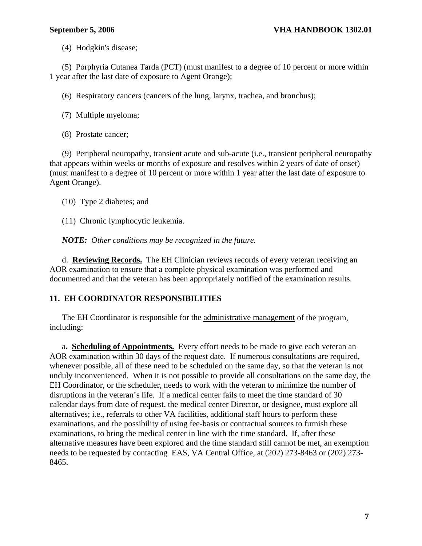(4) Hodgkin's disease;

 (5) Porphyria Cutanea Tarda (PCT) (must manifest to a degree of 10 percent or more within 1 year after the last date of exposure to Agent Orange);

(6) Respiratory cancers (cancers of the lung, larynx, trachea, and bronchus);

(7) Multiple myeloma;

(8) Prostate cancer;

 (9) Peripheral neuropathy, transient acute and sub-acute (i.e., transient peripheral neuropathy that appears within weeks or months of exposure and resolves within 2 years of date of onset) (must manifest to a degree of 10 percent or more within 1 year after the last date of exposure to Agent Orange).

(10) Type 2 diabetes; and

(11) Chronic lymphocytic leukemia.

*NOTE: Other conditions may be recognized in the future.* 

 d. **Reviewing Records.** The EH Clinician reviews records of every veteran receiving an AOR examination to ensure that a complete physical examination was performed and documented and that the veteran has been appropriately notified of the examination results.

#### **11. EH COORDINATOR RESPONSIBILITIES**

The EH Coordinator is responsible for the administrative management of the program, including:

 a**. Scheduling of Appointments.** Every effort needs to be made to give each veteran an AOR examination within 30 days of the request date. If numerous consultations are required, whenever possible, all of these need to be scheduled on the same day, so that the veteran is not unduly inconvenienced. When it is not possible to provide all consultations on the same day, the EH Coordinator, or the scheduler, needs to work with the veteran to minimize the number of disruptions in the veteran's life. If a medical center fails to meet the time standard of 30 calendar days from date of request, the medical center Director, or designee, must explore all alternatives; i.e., referrals to other VA facilities, additional staff hours to perform these examinations, and the possibility of using fee-basis or contractual sources to furnish these examinations, to bring the medical center in line with the time standard. If, after these alternative measures have been explored and the time standard still cannot be met, an exemption needs to be requested by contacting EAS, VA Central Office, at (202) 273-8463 or (202) 273- 8465.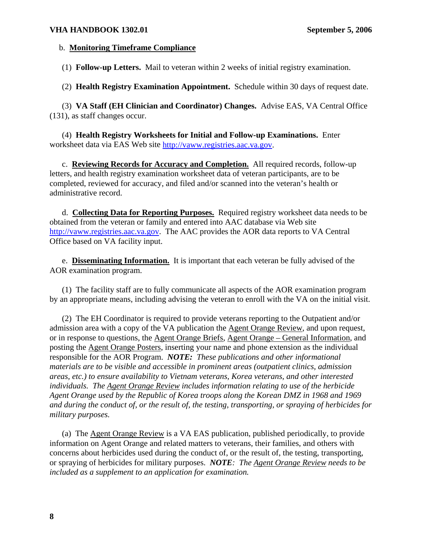#### b. **Monitoring Timeframe Compliance**

(1) **Follow-up Letters.** Mail to veteran within 2 weeks of initial registry examination.

(2) **Health Registry Examination Appointment.** Schedule within 30 days of request date.

(3) **VA Staff (EH Clinician and Coordinator) Changes.** Advise EAS, VA Central Office (131), as staff changes occur.

(4) **Health Registry Worksheets for Initial and Follow-up Examinations.** Enter worksheet data via EAS Web site [http://vaww.registries.aac.va.gov.](http://vaww.registries.aac.va.gov/)

 c. **Reviewing Records for Accuracy and Completion.** All required records, follow-up letters, and health registry examination worksheet data of veteran participants, are to be completed, reviewed for accuracy, and filed and/or scanned into the veteran's health or administrative record.

 d. **Collecting Data for Reporting Purposes.** Required registry worksheet data needs to be obtained from the veteran or family and entered into AAC database via Web site [http://vaww.registries.aac.va.gov.](http://vaww.registries.aac.va.gov/) The AAC provides the AOR data reports to VA Central Office based on VA facility input.

 e. **Disseminating Information.** It is important that each veteran be fully advised of the AOR examination program.

 (1) The facility staff are to fully communicate all aspects of the AOR examination program by an appropriate means, including advising the veteran to enroll with the VA on the initial visit.

 (2) The EH Coordinator is required to provide veterans reporting to the Outpatient and/or admission area with a copy of the VA publication the Agent Orange Review, and upon request, or in response to questions, the Agent Orange Briefs, Agent Orange – General Information, and posting the Agent Orange Posters, inserting your name and phone extension as the individual responsible for the AOR Program. *NOTE: These publications and other informational materials are to be visible and accessible in prominent areas (outpatient clinics, admission areas, etc.) to ensure availability to Vietnam veterans, Korea veterans, and other interested individuals. The Agent Orange Review includes information relating to use of the herbicide Agent Orange used by the Republic of Korea troops along the Korean DMZ in 1968 and 1969 and during the conduct of, or the result of, the testing, transporting, or spraying of herbicides for military purposes.* 

 (a) The Agent Orange Review is a VA EAS publication, published periodically, to provide information on Agent Orange and related matters to veterans, their families, and others with concerns about herbicides used during the conduct of, or the result of, the testing, transporting, or spraying of herbicides for military purposes. *NOTE: The Agent Orange Review needs to be included as a supplement to an application for examination.*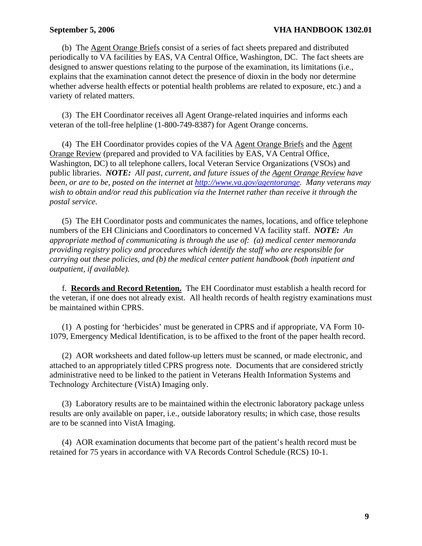#### **September 5, 2006** VHA HANDBOOK 1302.01

 (b) The Agent Orange Briefs consist of a series of fact sheets prepared and distributed periodically to VA facilities by EAS, VA Central Office, Washington, DC. The fact sheets are designed to answer questions relating to the purpose of the examination, its limitations (i.e., explains that the examination cannot detect the presence of dioxin in the body nor determine whether adverse health effects or potential health problems are related to exposure, etc.) and a variety of related matters.

 (3) The EH Coordinator receives all Agent Orange-related inquiries and informs each veteran of the toll-free helpline (1-800-749-8387) for Agent Orange concerns.

 (4) The EH Coordinator provides copies of the VA Agent Orange Briefs and the Agent Orange Review (prepared and provided to VA facilities by EAS, VA Central Office, Washington, DC) to all telephone callers, local Veteran Service Organizations (VSOs) and public libraries. *NOTE: All past, current, and future issues of the Agent Orange Review have been, or are to be, posted on the internet at <http://www.va.gov/agentorange>. Many veterans may wish to obtain and/or read this publication via the Internet rather than receive it through the postal service.* 

 (5) The EH Coordinator posts and communicates the names, locations, and office telephone numbers of the EH Clinicians and Coordinators to concerned VA facility staff. *NOTE: An appropriate method of communicating is through the use of: (a) medical center memoranda providing registry policy and procedures which identify the staff who are responsible for carrying out these policies, and (b) the medical center patient handbook (both inpatient and outpatient, if available).*

f. **Records and Record Retention.** The EH Coordinator must establish a health record for the veteran, if one does not already exist. All health records of health registry examinations must be maintained within CPRS.

 (1) A posting for 'herbicides' must be generated in CPRS and if appropriate, VA Form 10- 1079, Emergency Medical Identification, is to be affixed to the front of the paper health record.

 (2)AOR worksheets and dated follow-up letters must be scanned, or made electronic, and attached to an appropriately titled CPRS progress note. Documents that are considered strictly administrative need to be linked to the patient in Veterans Health Information Systems and Technology Architecture (VistA) Imaging only.

 (3) Laboratory results are to be maintained within the electronic laboratory package unless results are only available on paper, i.e., outside laboratory results; in which case, those results are to be scanned into VistA Imaging.

 (4) AOR examination documents that become part of the patient's health record must be retained for 75 years in accordance with VA Records Control Schedule (RCS) 10-1.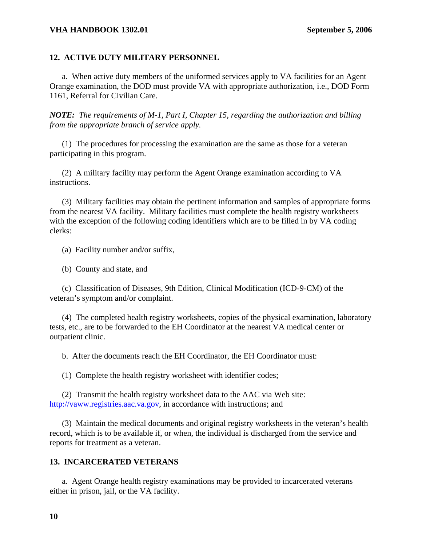#### **VHA HANDBOOK 1302.01 September 5, 2006**

#### **12. ACTIVE DUTY MILITARY PERSONNEL**

 a. When active duty members of the uniformed services apply to VA facilities for an Agent Orange examination, the DOD must provide VA with appropriate authorization, i.e., DOD Form 1161, Referral for Civilian Care.

*NOTE: The requirements of M-1, Part I, Chapter 15, regarding the authorization and billing from the appropriate branch of service apply.* 

 (1) The procedures for processing the examination are the same as those for a veteran participating in this program.

 (2) A military facility may perform the Agent Orange examination according to VA instructions.

 (3) Military facilities may obtain the pertinent information and samples of appropriate forms from the nearest VA facility. Military facilities must complete the health registry worksheets with the exception of the following coding identifiers which are to be filled in by VA coding clerks:

(a) Facility number and/or suffix,

(b) County and state, and

 (c) Classification of Diseases, 9th Edition, Clinical Modification (ICD-9-CM) of the veteran's symptom and/or complaint.

 (4) The completed health registry worksheets, copies of the physical examination, laboratory tests, etc., are to be forwarded to the EH Coordinator at the nearest VA medical center or outpatient clinic.

b. After the documents reach the EH Coordinator, the EH Coordinator must:

(1) Complete the health registry worksheet with identifier codes;

 (2) Transmit the health registry worksheet data to the AAC via Web site: [http://vaww.registries.aac.va.gov,](http://vaww.registries.aac.va.gov/) in accordance with instructions; and

 (3) Maintain the medical documents and original registry worksheets in the veteran's health record, which is to be available if, or when, the individual is discharged from the service and reports for treatment as a veteran.

#### **13. INCARCERATED VETERANS**

 a. Agent Orange health registry examinations may be provided to incarcerated veterans either in prison, jail, or the VA facility.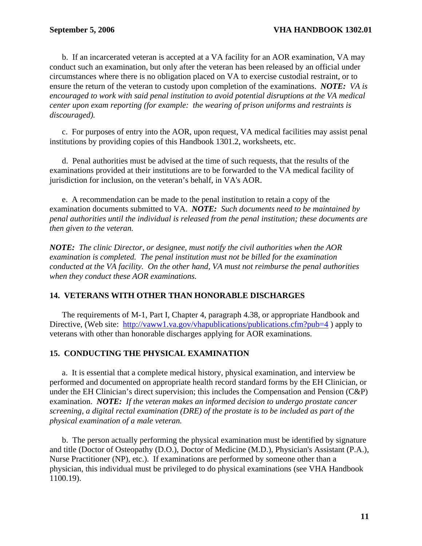b. If an incarcerated veteran is accepted at a VA facility for an AOR examination, VA may conduct such an examination, but only after the veteran has been released by an official under circumstances where there is no obligation placed on VA to exercise custodial restraint, or to ensure the return of the veteran to custody upon completion of the examinations. *NOTE: VA is encouraged to work with said penal institution to avoid potential disruptions at the VA medical center upon exam reporting (for example: the wearing of prison uniforms and restraints is discouraged).* 

 c. For purposes of entry into the AOR, upon request, VA medical facilities may assist penal institutions by providing copies of this Handbook 1301.2, worksheets, etc.

 d. Penal authorities must be advised at the time of such requests, that the results of the examinations provided at their institutions are to be forwarded to the VA medical facility of jurisdiction for inclusion, on the veteran's behalf, in VA's AOR.

 e. A recommendation can be made to the penal institution to retain a copy of the examination documents submitted to VA. *NOTE: Such documents need to be maintained by penal authorities until the individual is released from the penal institution; these documents are then given to the veteran.* 

*NOTE: The clinic Director, or designee, must notify the civil authorities when the AOR examination is completed. The penal institution must not be billed for the examination conducted at the VA facility. On the other hand, VA must not reimburse the penal authorities when they conduct these AOR examinations.*

# **14. VETERANS WITH OTHER THAN HONORABLE DISCHARGES**

 The requirements of M-1, Part I, Chapter 4, paragraph 4.38, or appropriate Handbook and Directive, (Web site: http://vaww1.va.gov/vhapublications/publications.cfm?pub=4) apply to veterans with other than honorable discharges applying for AOR examinations.

# **15. CONDUCTING THE PHYSICAL EXAMINATION**

 a. It is essential that a complete medical history, physical examination, and interview be performed and documented on appropriate health record standard forms by the EH Clinician, or under the EH Clinician's direct supervision; this includes the Compensation and Pension (C&P) examination. *NOTE: If the veteran makes an informed decision to undergo prostate cancer screening, a digital rectal examination (DRE) of the prostate is to be included as part of the physical examination of a male veteran.* 

 b. The person actually performing the physical examination must be identified by signature and title (Doctor of Osteopathy (D.O.), Doctor of Medicine (M.D.), Physician's Assistant (P.A.), Nurse Practitioner (NP), etc.). If examinations are performed by someone other than a physician, this individual must be privileged to do physical examinations (see VHA Handbook 1100.19).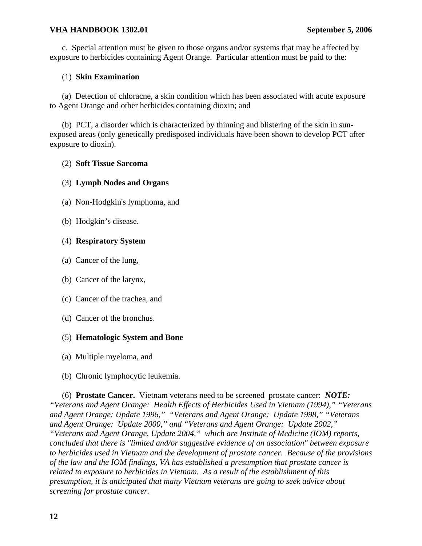#### **VHA HANDBOOK 1302.01 September 5, 2006**

c. Special attention must be given to those organs and/or systems that may be affected by exposure to herbicides containing Agent Orange. Particular attention must be paid to the:

#### (1) **Skin Examination**

 (a) Detection of chloracne, a skin condition which has been associated with acute exposure to Agent Orange and other herbicides containing dioxin; and

 (b) PCT, a disorder which is characterized by thinning and blistering of the skin in sunexposed areas (only genetically predisposed individuals have been shown to develop PCT after exposure to dioxin).

#### (2) **Soft Tissue Sarcoma**

#### (3) **Lymph Nodes and Organs**

- (a) Non-Hodgkin's lymphoma, and
- (b) Hodgkin's disease.

#### (4) **Respiratory System**

- (a) Cancer of the lung,
- (b) Cancer of the larynx,
- (c) Cancer of the trachea, and
- (d) Cancer of the bronchus.

# (5) **Hematologic System and Bone**

- (a)Multiple myeloma, and
- (b) Chronic lymphocytic leukemia.

 (6) **Prostate Cancer.** Vietnam veterans need to be screened prostate cancer: *NOTE: "Veterans and Agent Orange: Health Effects of Herbicides Used in Vietnam (1994)," "Veterans and Agent Orange: Update 1996," "Veterans and Agent Orange: Update 1998," "Veterans and Agent Orange: Update 2000," and "Veterans and Agent Orange: Update 2002," "Veterans and Agent Orange, Update 2004," which are Institute of Medicine (IOM) reports, concluded that there is "limited and/or suggestive evidence of an association" between exposure to herbicides used in Vietnam and the development of prostate cancer. Because of the provisions of the law and the IOM findings, VA has established a presumption that prostate cancer is related to exposure to herbicides in Vietnam. As a result of the establishment of this presumption, it is anticipated that many Vietnam veterans are going to seek advice about screening for prostate cancer.*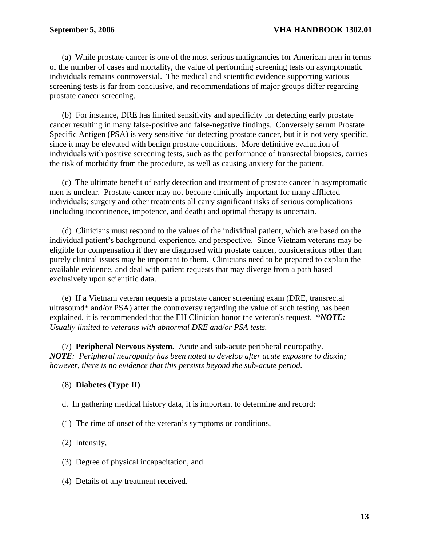(a) While prostate cancer is one of the most serious malignancies for American men in terms of the number of cases and mortality, the value of performing screening tests on asymptomatic individuals remains controversial. The medical and scientific evidence supporting various screening tests is far from conclusive, and recommendations of major groups differ regarding prostate cancer screening.

 (b) For instance, DRE has limited sensitivity and specificity for detecting early prostate cancer resulting in many false-positive and false-negative findings. Conversely serum Prostate Specific Antigen (PSA) is very sensitive for detecting prostate cancer, but it is not very specific, since it may be elevated with benign prostate conditions. More definitive evaluation of individuals with positive screening tests, such as the performance of transrectal biopsies, carries the risk of morbidity from the procedure, as well as causing anxiety for the patient.

 (c) The ultimate benefit of early detection and treatment of prostate cancer in asymptomatic men is unclear. Prostate cancer may not become clinically important for many afflicted individuals; surgery and other treatments all carry significant risks of serious complications (including incontinence, impotence, and death) and optimal therapy is uncertain.

 (d) Clinicians must respond to the values of the individual patient, which are based on the individual patient's background, experience, and perspective. Since Vietnam veterans may be eligible for compensation if they are diagnosed with prostate cancer, considerations other than purely clinical issues may be important to them. Clinicians need to be prepared to explain the available evidence, and deal with patient requests that may diverge from a path based exclusively upon scientific data.

 (e) If a Vietnam veteran requests a prostate cancer screening exam (DRE, transrectal ultrasound\* and/or PSA) after the controversy regarding the value of such testing has been explained, it is recommended that the EH Clinician honor the veteran's request. \**NOTE: Usually limited to veterans with abnormal DRE and/or PSA tests.* 

(7) **Peripheral Nervous System.** Acute and sub-acute peripheral neuropathy. *NOTE: Peripheral neuropathy has been noted to develop after acute exposure to dioxin; however, there is no evidence that this persists beyond the sub-acute period.* 

#### (8) **Diabetes (Type II)**

d. In gathering medical history data, it is important to determine and record:

(1) The time of onset of the veteran's symptoms or conditions,

(2) Intensity,

- (3) Degree of physical incapacitation, and
- (4) Details of any treatment received.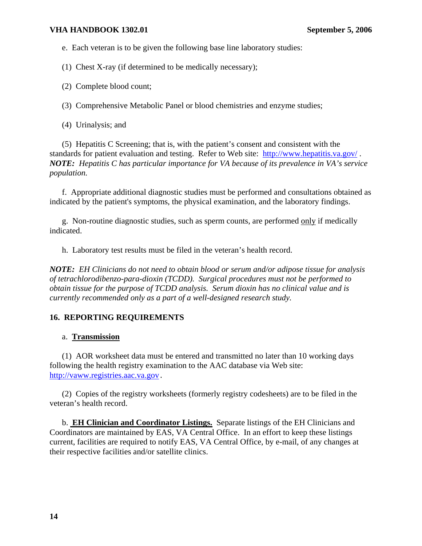#### **VHA HANDBOOK 1302.01 September 5, 2006**

e. Each veteran is to be given the following base line laboratory studies:

(1) Chest X-ray (if determined to be medically necessary);

(2) Complete blood count;

(3) Comprehensive Metabolic Panel or blood chemistries and enzyme studies;

(4) Urinalysis; and

 (5) Hepatitis C Screening; that is, with the patient's consent and consistent with the standards for patient evaluation and testing. Refer to Web site: <http://www.hepatitis.va.gov/>. *NOTE: Hepatitis C has particular importance for VA because of its prevalence in VA's service population.* 

 f. Appropriate additional diagnostic studies must be performed and consultations obtained as indicated by the patient's symptoms, the physical examination, and the laboratory findings.

 g. Non-routine diagnostic studies, such as sperm counts, are performed only if medically indicated.

h. Laboratory test results must be filed in the veteran's health record.

*NOTE: EH Clinicians do not need to obtain blood or serum and/or adipose tissue for analysis of tetrachlorodibenzo-para-dioxin (TCDD). Surgical procedures must not be performed to obtain tissue for the purpose of TCDD analysis. Serum dioxin has no clinical value and is currently recommended only as a part of a well-designed research study.* 

# **16. REPORTING REQUIREMENTS**

# a. **Transmission**

 (1) AOR worksheet data must be entered and transmitted no later than 10 working days following the health registry examination to the AAC database via Web site: [http://vaww.registries.aac.va.gov](http://vaww.registries.aac.va.gov/).

 (2) Copies of the registry worksheets (formerly registry codesheets) are to be filed in the veteran's health record.

 b. **EH Clinician and Coordinator Listings.** Separate listings of the EH Clinicians and Coordinators are maintained by EAS, VA Central Office. In an effort to keep these listings current, facilities are required to notify EAS, VA Central Office, by e-mail, of any changes at their respective facilities and/or satellite clinics.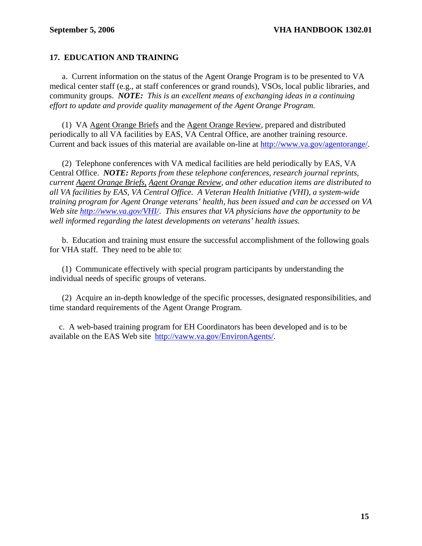# **17. EDUCATION AND TRAINING**

 a. Current information on the status of the Agent Orange Program is to be presented to VA medical center staff (e.g., at staff conferences or grand rounds), VSOs, local public libraries, and community groups. *NOTE: This is an excellent means of exchanging ideas in a continuing effort to update and provide quality management of the Agent Orange Program.* 

 (1) VA Agent Orange Briefs and the Agent Orange Review, prepared and distributed periodically to all VA facilities by EAS, VA Central Office, are another training resource. Current and back issues of this material are available on-line at [http://www.va.gov/agentorange/.](http://www.va.gov/agentorange/)

 (2) Telephone conferences with VA medical facilities are held periodically by EAS, VA Central Office. *NOTE: Reports from these telephone conferences, research journal reprints, current Agent Orange Briefs, Agent Orange Review, and other education items are distributed to all VA facilities by EAS, VA Central Office. A Veteran Health Initiative (VHI), a system-wide training program for Agent Orange veterans' health, has been issued and can be accessed on VA Web site<http://www.va.gov/VHI/>*. *This ensures that VA physicians have the opportunity to be well informed regarding the latest developments on veterans' health issues.* 

 b. Education and training must ensure the successful accomplishment of the following goals for VHA staff. They need to be able to:

 (1) Communicate effectively with special program participants by understanding the individual needs of specific groups of veterans.

 (2) Acquire an in-depth knowledge of the specific processes, designated responsibilities, and time standard requirements of the Agent Orange Program.

 c. A web-based training program for EH Coordinators has been developed and is to be available on the EAS Web site <http://vaww.va.gov/EnvironAgents/>.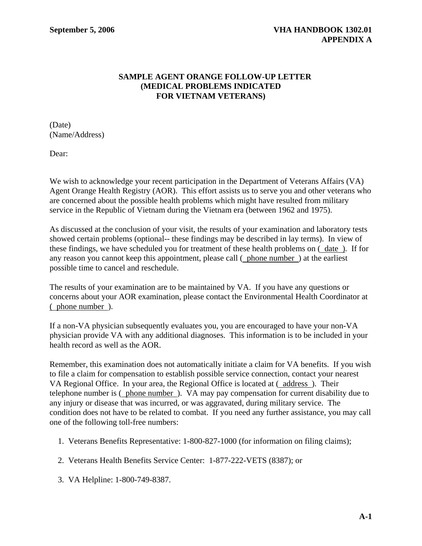# **SAMPLE AGENT ORANGE FOLLOW-UP LETTER (MEDICAL PROBLEMS INDICATED FOR VIETNAM VETERANS)**

(Date) (Name/Address)

Dear:

We wish to acknowledge your recent participation in the Department of Veterans Affairs (VA) Agent Orange Health Registry (AOR). This effort assists us to serve you and other veterans who are concerned about the possible health problems which might have resulted from military service in the Republic of Vietnam during the Vietnam era (between 1962 and 1975).

As discussed at the conclusion of your visit, the results of your examination and laboratory tests showed certain problems (optional-- these findings may be described in lay terms). In view of these findings, we have scheduled you for treatment of these health problems on ( date ). If for any reason you cannot keep this appointment, please call ( phone number ) at the earliest possible time to cancel and reschedule.

The results of your examination are to be maintained by VA. If you have any questions or concerns about your AOR examination, please contact the Environmental Health Coordinator at ( phone number ).

If a non-VA physician subsequently evaluates you, you are encouraged to have your non-VA physician provide VA with any additional diagnoses. This information is to be included in your health record as well as the AOR.

Remember, this examination does not automatically initiate a claim for VA benefits. If you wish to file a claim for compensation to establish possible service connection, contact your nearest VA Regional Office. In your area, the Regional Office is located at ( address ). Their telephone number is ( phone number ). VA may pay compensation for current disability due to any injury or disease that was incurred, or was aggravated, during military service. The condition does not have to be related to combat. If you need any further assistance, you may call one of the following toll-free numbers:

- 1. Veterans Benefits Representative: 1-800-827-1000 (for information on filing claims);
- 2. Veterans Health Benefits Service Center: 1-877-222-VETS (8387); or
- 3. VA Helpline: 1-800-749-8387.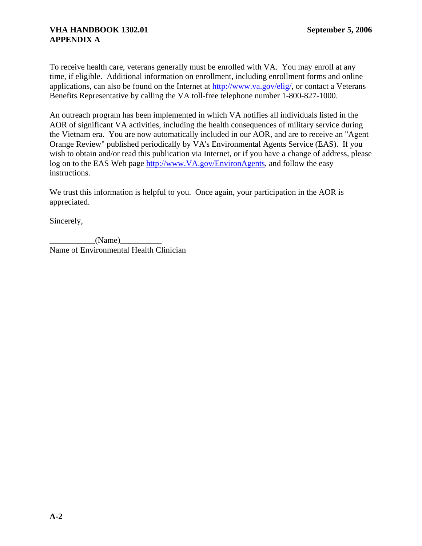To receive health care, veterans generally must be enrolled with VA. You may enroll at any time, if eligible. Additional information on enrollment, including enrollment forms and online applications, can also be found on the Internet at<http://www.va.gov/elig/>, or contact a Veterans Benefits Representative by calling the VA toll-free telephone number 1-800-827-1000.

An outreach program has been implemented in which VA notifies all individuals listed in the AOR of significant VA activities, including the health consequences of military service during the Vietnam era. You are now automatically included in our AOR, and are to receive an "Agent Orange Review" published periodically by VA's Environmental Agents Service (EAS). If you wish to obtain and/or read this publication via Internet, or if you have a change of address, please log on to the EAS Web page [http://www.VA.gov/EnvironAgents](http://www.va.gov/EnvironAgents), and follow the easy instructions.

We trust this information is helpful to you. Once again, your participation in the AOR is appreciated.

Sincerely,

 $(Name)$ Name of Environmental Health Clinician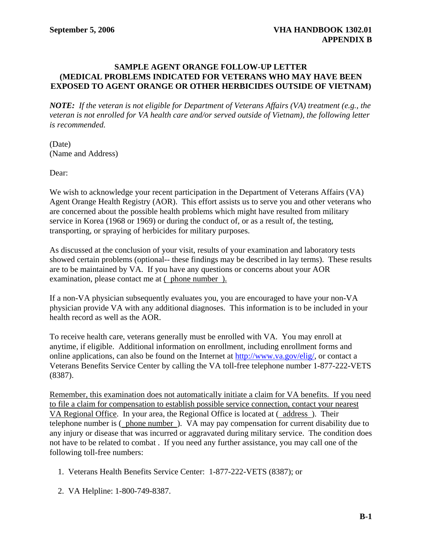#### **SAMPLE AGENT ORANGE FOLLOW-UP LETTER (MEDICAL PROBLEMS INDICATED FOR VETERANS WHO MAY HAVE BEEN EXPOSED TO AGENT ORANGE OR OTHER HERBICIDES OUTSIDE OF VIETNAM)**

*NOTE: If the veteran is not eligible for Department of Veterans Affairs (VA) treatment (e.g., the veteran is not enrolled for VA health care and/or served outside of Vietnam), the following letter is recommended.* 

(Date) (Name and Address)

Dear:

We wish to acknowledge your recent participation in the Department of Veterans Affairs (VA) Agent Orange Health Registry (AOR). This effort assists us to serve you and other veterans who are concerned about the possible health problems which might have resulted from military service in Korea (1968 or 1969) or during the conduct of, or as a result of, the testing, transporting, or spraying of herbicides for military purposes.

As discussed at the conclusion of your visit, results of your examination and laboratory tests showed certain problems (optional-- these findings may be described in lay terms). These results are to be maintained by VA. If you have any questions or concerns about your AOR examination, please contact me at ( phone number ).

If a non-VA physician subsequently evaluates you, you are encouraged to have your non-VA physician provide VA with any additional diagnoses. This information is to be included in your health record as well as the AOR.

To receive health care, veterans generally must be enrolled with VA. You may enroll at anytime, if eligible. Additional information on enrollment, including enrollment forms and online applications, can also be found on the Internet at<http://www.va.gov/elig/>, or contact a Veterans Benefits Service Center by calling the VA toll-free telephone number 1-877-222-VETS (8387).

Remember, this examination does not automatically initiate a claim for VA benefits. If you need to file a claim for compensation to establish possible service connection, contact your nearest VA Regional Office. In your area, the Regional Office is located at ( address ). Their telephone number is ( phone number ). VA may pay compensation for current disability due to any injury or disease that was incurred or aggravated during military service. The condition does not have to be related to combat . If you need any further assistance, you may call one of the following toll-free numbers:

- 1. Veterans Health Benefits Service Center: 1-877-222-VETS (8387); or
- 2. VA Helpline: 1-800-749-8387.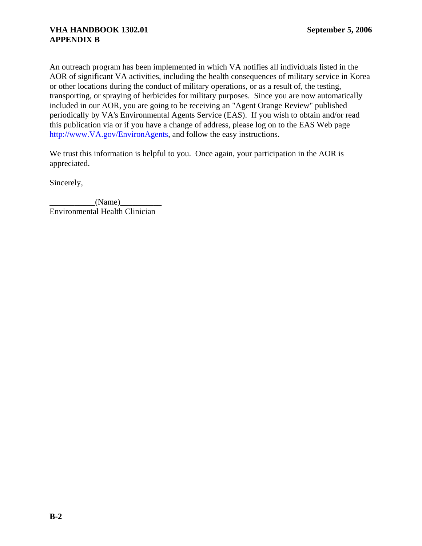An outreach program has been implemented in which VA notifies all individuals listed in the AOR of significant VA activities, including the health consequences of military service in Korea or other locations during the conduct of military operations, or as a result of, the testing, transporting, or spraying of herbicides for military purposes. Since you are now automatically included in our AOR, you are going to be receiving an "Agent Orange Review" published periodically by VA's Environmental Agents Service (EAS). If you wish to obtain and/or read this publication via or if you have a change of address, please log on to the EAS Web page [http://www.VA.gov/EnvironAgents](http://www.va.gov/EnvironAgents), and follow the easy instructions.

We trust this information is helpful to you. Once again, your participation in the AOR is appreciated.

Sincerely,

 $(Name)$ Environmental Health Clinician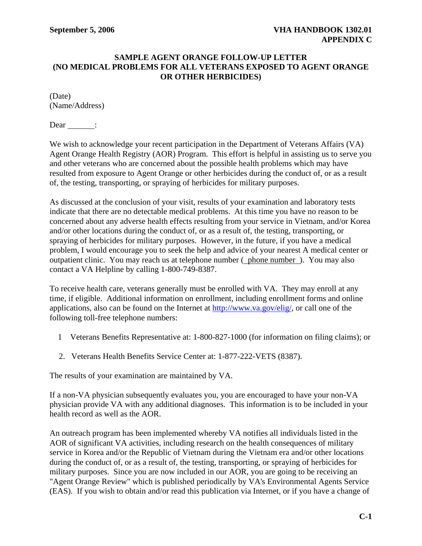#### **SAMPLE AGENT ORANGE FOLLOW-UP LETTER (NO MEDICAL PROBLEMS FOR ALL VETERANS EXPOSED TO AGENT ORANGE OR OTHER HERBICIDES)**

(Date) (Name/Address)

 $Dear$  :

We wish to acknowledge your recent participation in the Department of Veterans Affairs (VA) Agent Orange Health Registry (AOR) Program. This effort is helpful in assisting us to serve you and other veterans who are concerned about the possible health problems which may have resulted from exposure to Agent Orange or other herbicides during the conduct of, or as a result of, the testing, transporting, or spraying of herbicides for military purposes.

As discussed at the conclusion of your visit, results of your examination and laboratory tests indicate that there are no detectable medical problems. At this time you have no reason to be concerned about any adverse health effects resulting from your service in Vietnam, and/or Korea and/or other locations during the conduct of, or as a result of, the testing, transporting, or spraying of herbicides for military purposes. However, in the future, if you have a medical problem, I would encourage you to seek the help and advice of your nearest A medical center or outpatient clinic. You may reach us at telephone number ( phone number ). You may also contact a VA Helpline by calling 1-800-749-8387.

To receive health care, veterans generally must be enrolled with VA. They may enroll at any time, if eligible. Additional information on enrollment, including enrollment forms and online applications, also can be found on the Internet at<http://www.va.gov/elig/>, or call one of the following toll-free telephone numbers:

- 1 Veterans Benefits Representative at: 1-800-827-1000 (for information on filing claims); or
- 2. Veterans Health Benefits Service Center at: 1-877-222-VETS (8387).

The results of your examination are maintained by VA.

If a non-VA physician subsequently evaluates you, you are encouraged to have your non-VA physician provide VA with any additional diagnoses. This information is to be included in your health record as well as the AOR.

An outreach program has been implemented whereby VA notifies all individuals listed in the AOR of significant VA activities, including research on the health consequences of military service in Korea and/or the Republic of Vietnam during the Vietnam era and/or other locations during the conduct of, or as a result of, the testing, transporting, or spraying of herbicides for military purposes. Since you are now included in our AOR, you are going to be receiving an "Agent Orange Review" which is published periodically by VA's Environmental Agents Service (EAS). If you wish to obtain and/or read this publication via Internet, or if you have a change of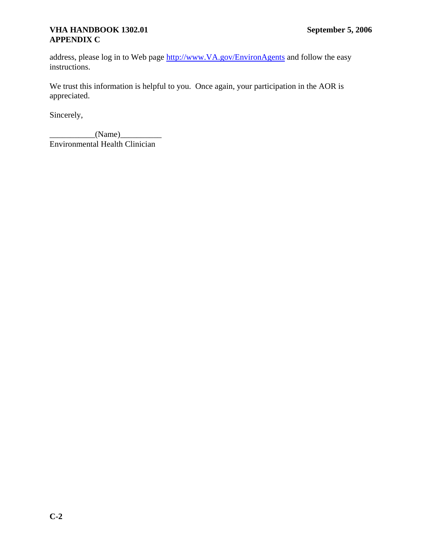# **VHA HANDBOOK 1302.01 September 5, 2006 APPENDIX C**

address, please log in to Web page [http://www.VA.gov/EnvironAgents](http://www.va.gov/EnvironAgents) and follow the easy instructions.

We trust this information is helpful to you. Once again, your participation in the AOR is appreciated.

Sincerely,

 $(Name)$ Environmental Health Clinician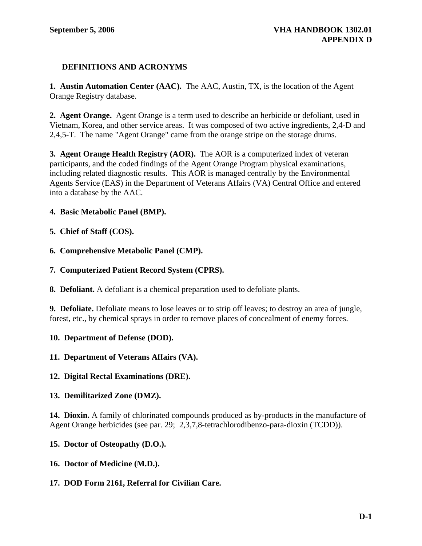# **DEFINITIONS AND ACRONYMS**

**1. Austin Automation Center (AAC).** The AAC, Austin, TX, is the location of the Agent Orange Registry database.

**2. Agent Orange.** Agent Orange is a term used to describe an herbicide or defoliant, used in Vietnam, Korea, and other service areas. It was composed of two active ingredients, 2,4-D and 2,4,5-T. The name "Agent Orange" came from the orange stripe on the storage drums.

**3. Agent Orange Health Registry (AOR).** The AOR is a computerized index of veteran participants, and the coded findings of the Agent Orange Program physical examinations, including related diagnostic results. This AOR is managed centrally by the Environmental Agents Service (EAS) in the Department of Veterans Affairs (VA) Central Office and entered into a database by the AAC.

# **4. Basic Metabolic Panel (BMP).**

#### **5. Chief of Staff (COS).**

**6. Comprehensive Metabolic Panel (CMP).** 

#### **7. Computerized Patient Record System (CPRS).**

**8. Defoliant.** A defoliant is a chemical preparation used to defoliate plants.

**9. Defoliate.** Defoliate means to lose leaves or to strip off leaves; to destroy an area of jungle, forest, etc., by chemical sprays in order to remove places of concealment of enemy forces.

#### **10. Department of Defense (DOD).**

#### **11. Department of Veterans Affairs (VA).**

#### **12. Digital Rectal Examinations (DRE).**

# **13. Demilitarized Zone (DMZ).**

**14. Dioxin.** A family of chlorinated compounds produced as by-products in the manufacture of Agent Orange herbicides (see par. 29; 2,3,7,8-tetrachlorodibenzo-para-dioxin (TCDD)).

# **15. Doctor of Osteopathy (D.O.).**

# **16. Doctor of Medicine (M.D.).**

# **17. DOD Form 2161, Referral for Civilian Care.**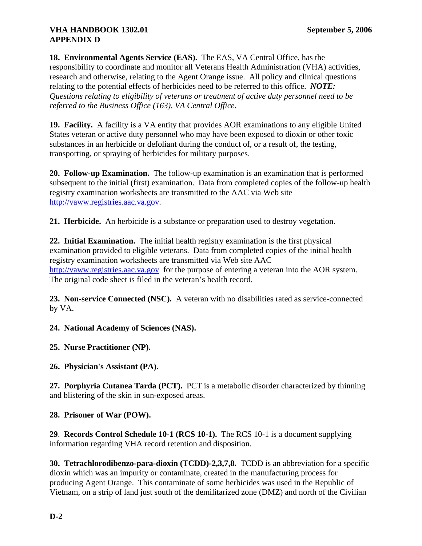# **VHA HANDBOOK 1302.01 September 5, 2006 APPENDIX D**

**18. Environmental Agents Service (EAS).** The EAS, VA Central Office, has the responsibility to coordinate and monitor all Veterans Health Administration (VHA) activities, research and otherwise, relating to the Agent Orange issue. All policy and clinical questions relating to the potential effects of herbicides need to be referred to this office. *NOTE: Questions relating to eligibility of veterans or treatment of active duty personnel need to be referred to the Business Office (163), VA Central Office.* 

**19. Facility.** A facility is a VA entity that provides AOR examinations to any eligible United States veteran or active duty personnel who may have been exposed to dioxin or other toxic substances in an herbicide or defoliant during the conduct of, or a result of, the testing, transporting, or spraying of herbicides for military purposes.

**20. Follow-up Examination.** The follow-up examination is an examination that is performed subsequent to the initial (first) examination. Data from completed copies of the follow-up health registry examination worksheets are transmitted to the AAC via Web site [http://vaww.registries.aac.va.gov.](http://vaww.registries.aac.va.gov/)

**21. Herbicide.** An herbicide is a substance or preparation used to destroy vegetation.

**22. Initial Examination.** The initial health registry examination is the first physical examination provided to eligible veterans. Data from completed copies of the initial health registry examination worksheets are transmitted via Web site AAC [http://vaww.registries.aac.va.gov](http://vaww.registries.aac.va.gov/) for the purpose of entering a veteran into the AOR system. The original code sheet is filed in the veteran's health record.

**23. Non-service Connected (NSC).** A veteran with no disabilities rated as service-connected by VA.

**24. National Academy of Sciences (NAS).** 

**25. Nurse Practitioner (NP).** 

**26. Physician's Assistant (PA).**

**27. Porphyria Cutanea Tarda (PCT).** PCT is a metabolic disorder characterized by thinning and blistering of the skin in sun-exposed areas.

**28. Prisoner of War (POW).**

**29**. **Records Control Schedule 10-1 (RCS 10-1).** The RCS 10-1 is a document supplying information regarding VHA record retention and disposition.

**30. Tetrachlorodibenzo-para-dioxin (TCDD)-2,3,7,8.** TCDD is an abbreviation for a specific dioxin which was an impurity or contaminate, created in the manufacturing process for producing Agent Orange. This contaminate of some herbicides was used in the Republic of Vietnam, on a strip of land just south of the demilitarized zone (DMZ) and north of the Civilian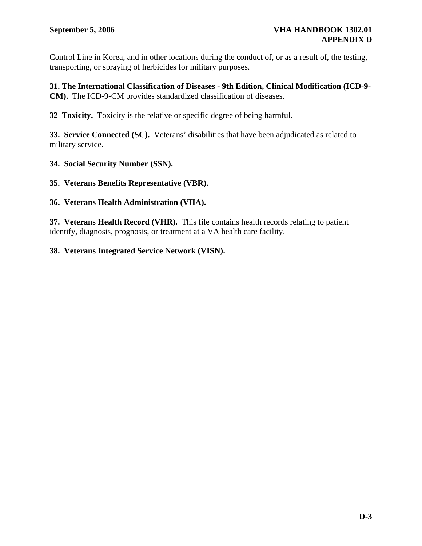Control Line in Korea, and in other locations during the conduct of, or as a result of, the testing, transporting, or spraying of herbicides for military purposes.

**31. The International Classification of Diseases - 9th Edition, Clinical Modification (ICD-9- CM).** The ICD-9-CM provides standardized classification of diseases.

**32 Toxicity.** Toxicity is the relative or specific degree of being harmful.

**33. Service Connected (SC).** Veterans' disabilities that have been adjudicated as related to military service.

**34. Social Security Number (SSN).** 

**35. Veterans Benefits Representative (VBR).** 

#### **36. Veterans Health Administration (VHA).**

**37. Veterans Health Record (VHR).** This file contains health records relating to patient identify, diagnosis, prognosis, or treatment at a VA health care facility.

#### **38. Veterans Integrated Service Network (VISN).**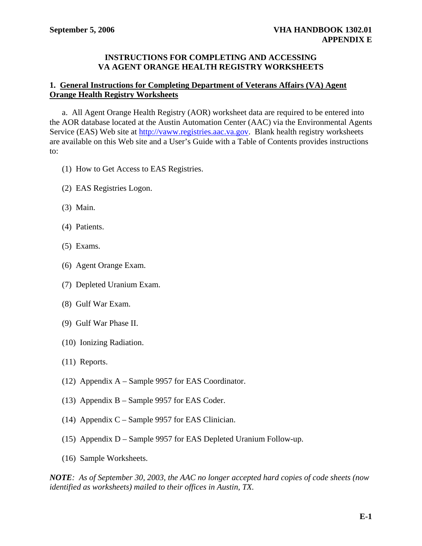#### **INSTRUCTIONS FOR COMPLETING AND ACCESSING VA AGENT ORANGE HEALTH REGISTRY WORKSHEETS**

#### **1. General Instructions for Completing Department of Veterans Affairs (VA) Agent Orange Health Registry Worksheets**

 a. All Agent Orange Health Registry (AOR) worksheet data are required to be entered into the AOR database located at the Austin Automation Center (AAC) via the Environmental Agents Service (EAS) Web site at [http://vaww.registries.aac.va.gov.](http://vaww.registries.aac.va.gov/) Blank health registry worksheets are available on this Web site and a User's Guide with a Table of Contents provides instructions to:

- (1) How to Get Access to EAS Registries.
- (2) EAS Registries Logon.
- (3) Main.
- (4) Patients.
- (5) Exams.
- (6) Agent Orange Exam.
- (7) Depleted Uranium Exam.
- (8) Gulf War Exam.
- (9) Gulf War Phase II.
- (10) Ionizing Radiation.
- (11) Reports.
- (12) Appendix A Sample 9957 for EAS Coordinator.
- (13) Appendix B Sample 9957 for EAS Coder.
- (14) Appendix C Sample 9957 for EAS Clinician.
- (15) Appendix D Sample 9957 for EAS Depleted Uranium Follow-up.
- (16) Sample Worksheets.

*NOTE: As of September 30, 2003, the AAC no longer accepted hard copies of code sheets (now identified as worksheets) mailed to their offices in Austin, TX.*